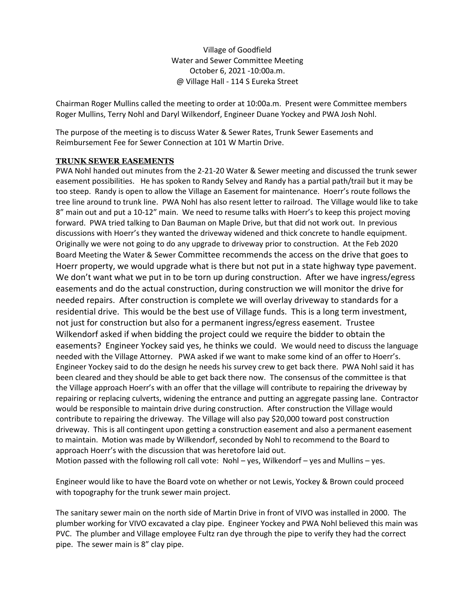Village of Goodfield Water and Sewer Committee Meeting October 6, 2021 -10:00a.m. @ Village Hall - 114 S Eureka Street

Chairman Roger Mullins called the meeting to order at 10:00a.m. Present were Committee members Roger Mullins, Terry Nohl and Daryl Wilkendorf, Engineer Duane Yockey and PWA Josh Nohl.

The purpose of the meeting is to discuss Water & Sewer Rates, Trunk Sewer Easements and Reimbursement Fee for Sewer Connection at 101 W Martin Drive.

# **TRUNK SEWER EASEMENTS**

PWA Nohl handed out minutes from the 2-21-20 Water & Sewer meeting and discussed the trunk sewer easement possibilities. He has spoken to Randy Selvey and Randy has a partial path/trail but it may be too steep. Randy is open to allow the Village an Easement for maintenance. Hoerr's route follows the tree line around to trunk line. PWA Nohl has also resent letter to railroad. The Village would like to take 8" main out and put a 10-12" main. We need to resume talks with Hoerr's to keep this project moving forward. PWA tried talking to Dan Bauman on Maple Drive, but that did not work out. In previous discussions with Hoerr's they wanted the driveway widened and thick concrete to handle equipment. Originally we were not going to do any upgrade to driveway prior to construction. At the Feb 2020 Board Meeting the Water & Sewer Committee recommends the access on the drive that goes to Hoerr property, we would upgrade what is there but not put in a state highway type pavement. We don't want what we put in to be torn up during construction. After we have ingress/egress easements and do the actual construction, during construction we will monitor the drive for needed repairs. After construction is complete we will overlay driveway to standards for a residential drive. This would be the best use of Village funds. This is a long term investment, not just for construction but also for a permanent ingress/egress easement. Trustee Wilkendorf asked if when bidding the project could we require the bidder to obtain the easements? Engineer Yockey said yes, he thinks we could. We would need to discuss the language needed with the Village Attorney. PWA asked if we want to make some kind of an offer to Hoerr's. Engineer Yockey said to do the design he needs his survey crew to get back there. PWA Nohl said it has been cleared and they should be able to get back there now. The consensus of the committee is that the Village approach Hoerr's with an offer that the village will contribute to repairing the driveway by repairing or replacing culverts, widening the entrance and putting an aggregate passing lane. Contractor would be responsible to maintain drive during construction. After construction the Village would contribute to repairing the driveway. The Village will also pay \$20,000 toward post construction driveway. This is all contingent upon getting a construction easement and also a permanent easement to maintain. Motion was made by Wilkendorf, seconded by Nohl to recommend to the Board to approach Hoerr's with the discussion that was heretofore laid out.

Motion passed with the following roll call vote: Nohl – yes, Wilkendorf – yes and Mullins – yes.

Engineer would like to have the Board vote on whether or not Lewis, Yockey & Brown could proceed with topography for the trunk sewer main project.

The sanitary sewer main on the north side of Martin Drive in front of VIVO was installed in 2000. The plumber working for VIVO excavated a clay pipe. Engineer Yockey and PWA Nohl believed this main was PVC. The plumber and Village employee Fultz ran dye through the pipe to verify they had the correct pipe. The sewer main is 8" clay pipe.